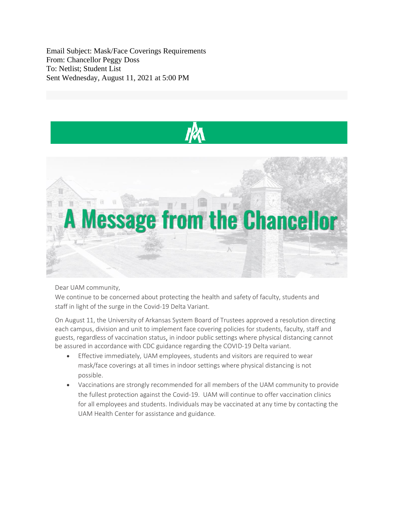Email Subject: Mask/Face Coverings Requirements From: Chancellor Peggy Doss To: Netlist; Student List Sent Wednesday, August 11, 2021 at 5:00 PM



Dear UAM community,

We continue to be concerned about protecting the health and safety of faculty, students and staff in light of the surge in the Covid-19 Delta Variant.

On August 11, the University of Arkansas System Board of Trustees approved a resolution directing each campus, division and unit to implement face covering policies for students, faculty, staff and guests, regardless of vaccination status, in indoor public settings where physical distancing cannot be assured in accordance with CDC guidance regarding the COVID-19 Delta variant.

- Effective immediately, UAM employees, students and visitors are required to wear mask/face coverings at all times in indoor settings where physical distancing is not possible.
- Vaccinations are strongly recommended for all members of the UAM community to provide the fullest protection against the Covid-19. UAM will continue to offer vaccination clinics for all employees and students. Individuals may be vaccinated at any time by contacting the UAM Health Center for assistance and guidance.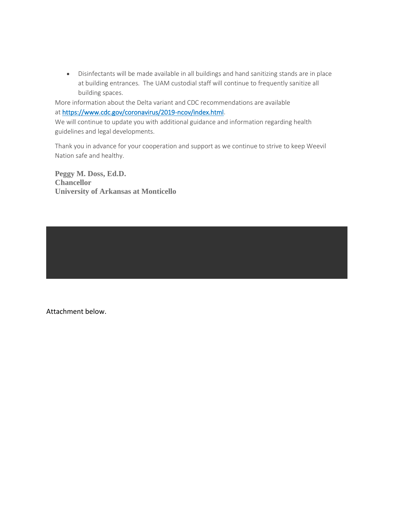• Disinfectants will be made available in all buildings and hand sanitizing stands are in place at building entrances. The UAM custodial staff will continue to frequently sanitize all building spaces.

More information about the Delta variant and CDC recommendations are available at [https://www.cdc.gov/coronavirus/2019-ncov/index.html.](https://www.cdc.gov/coronavirus/2019-ncov/index.html)

We will continue to update you with additional guidance and information regarding health guidelines and legal developments.

Thank you in advance for your cooperation and support as we continue to strive to keep Weevil Nation safe and healthy.

**Peggy M. Doss, Ed.D. Chancellor University of Arkansas at Monticello**

Attachment below.